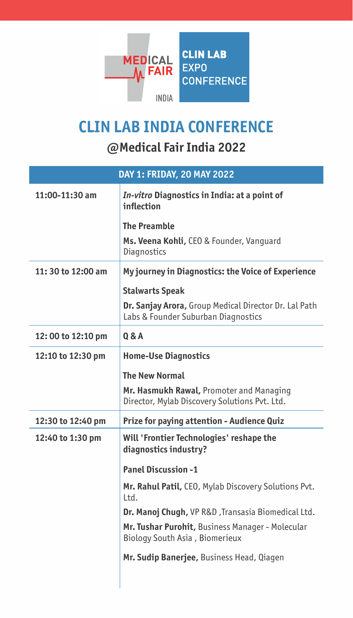

## **CLIN LAB INDIA CONFERENCE**

## **@Medical Fair India 2022**

| DAY 1: FRIDAY, 20 MAY 2022 |                                                                                              |
|----------------------------|----------------------------------------------------------------------------------------------|
| 11:00-11:30 am             | In-vitro Diagnostics in India: at a point of<br>inflection                                   |
|                            | <b>The Preamble</b>                                                                          |
|                            | Ms. Veena Kohli, CEO & Founder, Vanguard<br>Diagnostics                                      |
| 11:30 to 12:00 am          | My journey in Diagnostics: the Voice of Experience                                           |
|                            | <b>Stalwarts Speak</b>                                                                       |
|                            | Dr. Sanjay Arora, Group Medical Director Dr. Lal Path<br>Labs & Founder Suburban Diagnostics |
| 12:00 to 12:10 pm          | 0 & A                                                                                        |
| 12:10 to 12:30 pm          | <b>Home-Use Diagnostics</b>                                                                  |
|                            | <b>The New Normal</b>                                                                        |
|                            | Mr. Hasmukh Rawal, Promoter and Managing<br>Director, Mylab Discovery Solutions Pvt. Ltd.    |
| 12:30 to 12:40 pm          | <b>Prize for paying attention - Audience Quiz</b>                                            |
| 12:40 to 1:30 pm           | Will 'Frontier Technologies' reshape the<br>diagnostics industry?                            |
|                            | <b>Panel Discussion -1</b>                                                                   |
|                            | Mr. Rahul Patil, CEO, Mylab Discovery Solutions Pvt.<br>Ltd.                                 |
|                            | Dr. Manoj Chugh, VP R&D, Transasia Biomedical Ltd.                                           |
|                            | Mr. Tushar Purohit, Business Manager - Molecular<br>Biology South Asia, Biomerieux           |
|                            | Mr. Sudip Banerjee, Business Head, Qiagen                                                    |
|                            |                                                                                              |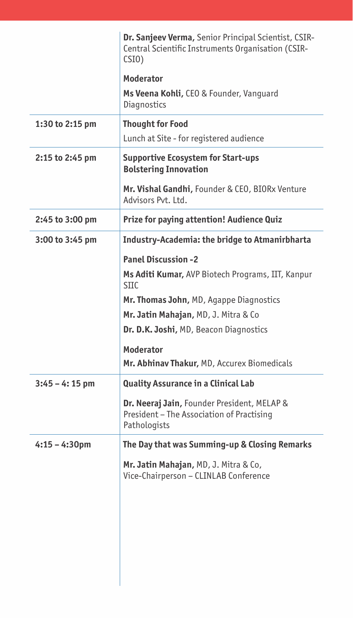|                  | <b>Dr. Sanjeev Verma, Senior Principal Scientist, CSIR-</b><br>Central Scientific Instruments Organisation (CSIR-<br>CSI <sub>0</sub> |
|------------------|---------------------------------------------------------------------------------------------------------------------------------------|
|                  | Moderator                                                                                                                             |
|                  | Ms Veena Kohli, CEO & Founder, Vanquard<br>Diagnostics                                                                                |
| 1:30 to 2:15 pm  | <b>Thought for Food</b>                                                                                                               |
|                  | Lunch at Site - for registered audience                                                                                               |
| 2:15 to 2:45 pm  | <b>Supportive Ecosystem for Start-ups</b><br><b>Bolstering Innovation</b>                                                             |
|                  | Mr. Vishal Gandhi, Founder & CEO, BIORx Venture<br>Advisors Pvt. Ltd.                                                                 |
| 2:45 to 3:00 pm  | <b>Prize for paying attention! Audience Quiz</b>                                                                                      |
| 3:00 to 3:45 pm  | <b>Industry-Academia: the bridge to Atmanirbharta</b>                                                                                 |
|                  | <b>Panel Discussion -2</b>                                                                                                            |
|                  | Ms Aditi Kumar, AVP Biotech Programs, IIT, Kanpur<br><b>SIIC</b>                                                                      |
|                  | Mr. Thomas John, MD, Agappe Diagnostics                                                                                               |
|                  | Mr. Jatin Mahajan, MD, J. Mitra & Co                                                                                                  |
|                  | Dr. D.K. Joshi, MD, Beacon Diagnostics                                                                                                |
|                  | Moderator                                                                                                                             |
|                  | Mr. Abhinav Thakur, MD, Accurex Biomedicals                                                                                           |
| $3:45 - 4:15$ pm | Quality Assurance in a Clinical Lab                                                                                                   |
|                  | Dr. Neeraj Jain, Founder President, MELAP &<br>President - The Association of Practising<br>Pathologists                              |
| $4:15 - 4:30$ pm | The Day that was Summing-up & Closing Remarks                                                                                         |
|                  | Mr. Jatin Mahajan, MD, J. Mitra & Co,<br>Vice-Chairperson - CLINLAB Conference                                                        |
|                  |                                                                                                                                       |
|                  |                                                                                                                                       |
|                  |                                                                                                                                       |
|                  |                                                                                                                                       |
|                  |                                                                                                                                       |
|                  |                                                                                                                                       |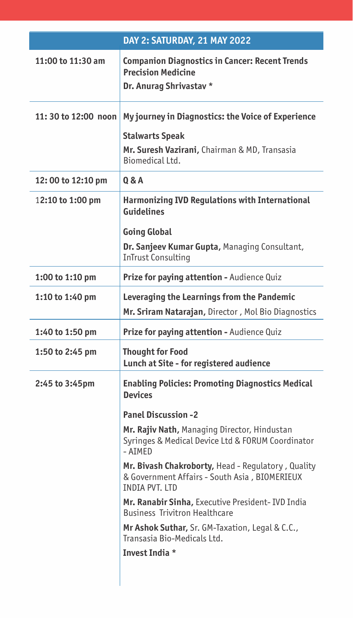|                     | DAY 2: SATURDAY, 21 MAY 2022                                                                                                  |
|---------------------|-------------------------------------------------------------------------------------------------------------------------------|
| 11:00 to 11:30 am   | <b>Companion Diagnostics in Cancer: Recent Trends</b><br><b>Precision Medicine</b><br>Dr. Anurag Shrivastav *                 |
| 11:30 to 12:00 noon | My journey in Diagnostics: the Voice of Experience<br><b>Stalwarts Speak</b><br>Mr. Suresh Vazirani, Chairman & MD, Transasia |
|                     | Biomedical Ltd.<br>0 & A                                                                                                      |
| 12:00 to 12:10 pm   |                                                                                                                               |
| 12:10 to 1:00 pm    | <b>Harmonizing IVD Regulations with International</b><br><b>Guidelines</b>                                                    |
|                     | <b>Going Global</b>                                                                                                           |
|                     | Dr. Sanjeev Kumar Gupta, Managing Consultant,<br><b>InTrust Consulting</b>                                                    |
| 1:00 to 1:10 pm     | Prize for paying attention - Audience Quiz                                                                                    |
| 1:10 to 1:40 pm     | Leveraging the Learnings from the Pandemic<br>Mr. Sriram Natarajan, Director, Mol Bio Diagnostics                             |
| 1:40 to 1:50 pm     | Prize for paying attention - Audience Quiz                                                                                    |
| 1:50 to 2:45 pm     | <b>Thought for Food</b><br>Lunch at Site - for registered audience                                                            |
| 2:45 to 3:45pm      | <b>Enabling Policies: Promoting Diagnostics Medical</b><br><b>Devices</b>                                                     |
|                     | <b>Panel Discussion -2</b>                                                                                                    |
|                     | Mr. Rajiv Nath, Managing Director, Hindustan<br>Syringes & Medical Device Ltd & FORUM Coordinator<br>- AIMED                  |
|                     | Mr. Bivash Chakroborty, Head - Regulatory, Quality<br>& Government Affairs - South Asia, BIOMERIEUX<br>INDIA PVT. LTD         |
|                     | Mr. Ranabir Sinha, Executive President- IVD India<br><b>Business Trivitron Healthcare</b>                                     |
|                     | Mr Ashok Suthar, Sr. GM-Taxation, Legal & C.C.,<br>Transasia Bio-Medicals Ltd.                                                |
|                     | Invest India *                                                                                                                |